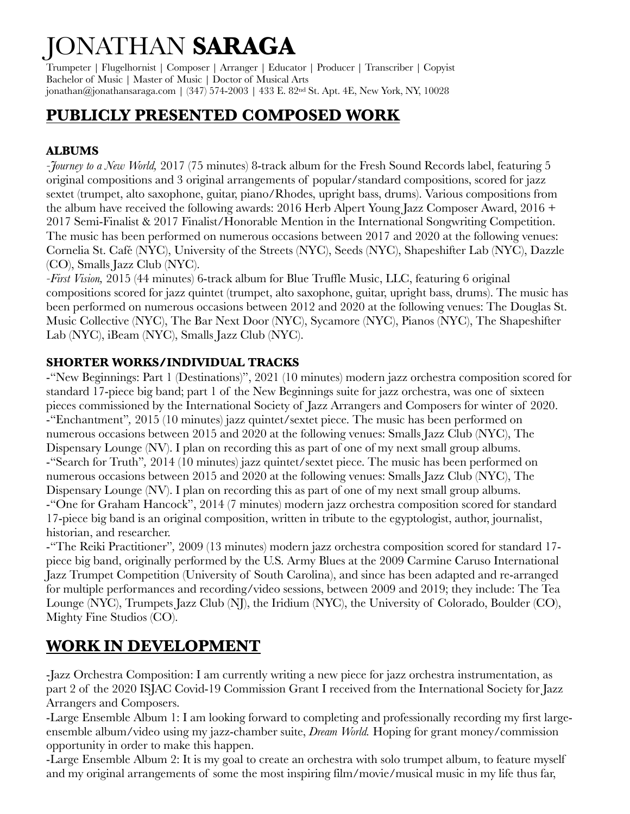# JONATHAN **SARAGA**

Trumpeter | Flugelhornist | Composer | Arranger | Educator | Producer | Transcriber | Copyist Bachelor of Music | Master of Music | Doctor of Musical Arts jonathan@jonathansaraga.com | (347) 574-2003 | 433 E. 82nd St. Apt. 4E, New York, NY, 10028

# **PUBLICLY PRESENTED COMPOSED WORK**

# **ALBUMS**

*-Journey to a New World,* 2017 (75 minutes) 8-track album for the Fresh Sound Records label, featuring 5 original compositions and 3 original arrangements of popular/standard compositions, scored for jazz sextet (trumpet, alto saxophone, guitar, piano/Rhodes, upright bass, drums). Various compositions from the album have received the following awards: 2016 Herb Alpert Young Jazz Composer Award, 2016 + 2017 Semi-Finalist & 2017 Finalist/Honorable Mention in the International Songwriting Competition. The music has been performed on numerous occasions between 2017 and 2020 at the following venues: Cornelia St. Café(NYC), University of the Streets (NYC), Seeds (NYC), Shapeshifter Lab (NYC), Dazzle (CO), Smalls Jazz Club (NYC).

*-First Vision,* 2015 (44 minutes) 6-track album for Blue Truffle Music, LLC, featuring 6 original compositions scored for jazz quintet (trumpet, alto saxophone, guitar, upright bass, drums). The music has been performed on numerous occasions between 2012 and 2020 at the following venues: The Douglas St. Music Collective (NYC), The Bar Next Door (NYC), Sycamore (NYC), Pianos (NYC), The Shapeshifter Lab (NYC), iBeam (NYC), Smalls Jazz Club (NYC).

# **SHORTER WORKS/INDIVIDUAL TRACKS**

-"New Beginnings: Part 1 (Destinations)", 2021 (10 minutes) modern jazz orchestra composition scored for standard 17-piece big band; part 1 of the New Beginnings suite for jazz orchestra, was one of sixteen pieces commissioned by the International Society of Jazz Arrangers and Composers for winter of 2020. -"Enchantment"*,* 2015 (10 minutes) jazz quintet/sextet piece. The music has been performed on numerous occasions between 2015 and 2020 at the following venues: Smalls Jazz Club (NYC), The Dispensary Lounge (NV). I plan on recording this as part of one of my next small group albums. -"Search for Truth"*,* 2014 (10 minutes) jazz quintet/sextet piece. The music has been performed on numerous occasions between 2015 and 2020 at the following venues: Smalls Jazz Club (NYC), The Dispensary Lounge (NV). I plan on recording this as part of one of my next small group albums. -"One for Graham Hancock", 2014 (7 minutes) modern jazz orchestra composition scored for standard 17-piece big band is an original composition, written in tribute to the egyptologist, author, journalist, historian, and researcher.

-"The Reiki Practitioner"*,* 2009 (13 minutes) modern jazz orchestra composition scored for standard 17 piece big band, originally performed by the U.S. Army Blues at the 2009 Carmine Caruso International Jazz Trumpet Competition (University of South Carolina), and since has been adapted and re-arranged for multiple performances and recording/video sessions, between 2009 and 2019; they include: The Tea Lounge (NYC), Trumpets Jazz Club (NJ), the Iridium (NYC), the University of Colorado, Boulder (CO), Mighty Fine Studios (CO).

# **WORK IN DEVELOPMENT**

-Jazz Orchestra Composition: I am currently writing a new piece for jazz orchestra instrumentation, as part 2 of the 2020 ISJAC Covid-19 Commission Grant I received from the International Society for Jazz Arrangers and Composers.

-Large Ensemble Album 1: I am looking forward to completing and professionally recording my first largeensemble album/video using my jazz-chamber suite, *Dream World.* Hoping for grant money/commission opportunity in order to make this happen.

-Large Ensemble Album 2: It is my goal to create an orchestra with solo trumpet album, to feature myself and my original arrangements of some the most inspiring film/movie/musical music in my life thus far,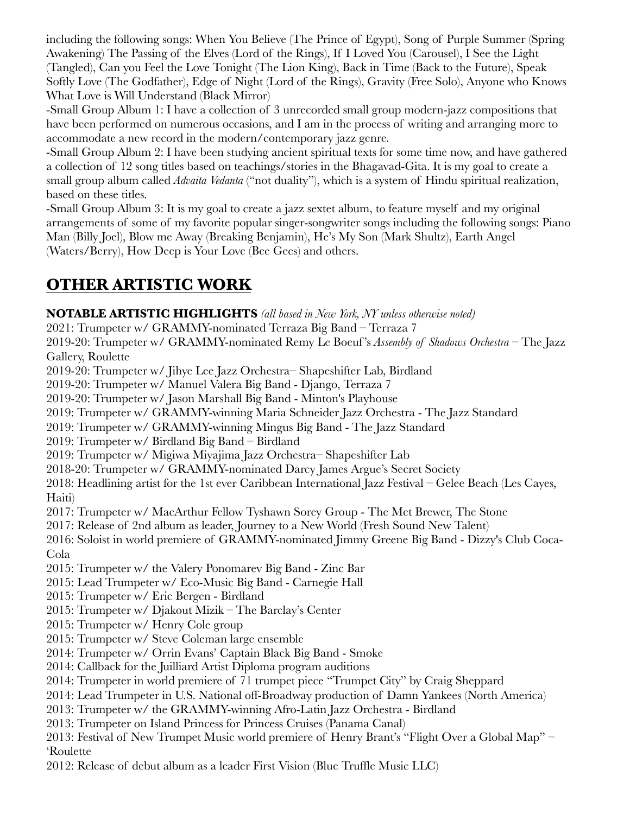including the following songs: When You Believe (The Prince of Egypt), Song of Purple Summer (Spring Awakening) The Passing of the Elves (Lord of the Rings), If I Loved You (Carousel), I See the Light (Tangled), Can you Feel the Love Tonight (The Lion King), Back in Time (Back to the Future), Speak Softly Love (The Godfather), Edge of Night (Lord of the Rings), Gravity (Free Solo), Anyone who Knows What Love is Will Understand (Black Mirror)

-Small Group Album 1: I have a collection of 3 unrecorded small group modern-jazz compositions that have been performed on numerous occasions, and I am in the process of writing and arranging more to accommodate a new record in the modern/contemporary jazz genre.

-Small Group Album 2: I have been studying ancient spiritual texts for some time now, and have gathered a collection of 12 song titles based on teachings/stories in the Bhagavad-Gita. It is my goal to create a small group album called *Advaita Vedanta* ("not duality"), which is a system of Hindu spiritual realization, based on these titles.

-Small Group Album 3: It is my goal to create a jazz sextet album, to feature myself and my original arrangements of some of my favorite popular singer-songwriter songs including the following songs: Piano Man (Billy Joel), Blow me Away (Breaking Benjamin), He's My Son (Mark Shultz), Earth Angel (Waters/Berry), How Deep is Your Love (Bee Gees) and others.

# **OTHER ARTISTIC WORK**

**NOTABLE ARTISTIC HIGHLIGHTS** *(all based in New York, NY unless otherwise noted)*

2021: Trumpeter w/ GRAMMY-nominated Terraza Big Band – Terraza 7

2019-20: Trumpeter w/ GRAMMY-nominated Remy Le Boeuf 's *Assembly of Shadows Orchestra* – The Jazz Gallery, Roulette

2019-20: Trumpeter w/ Jihye Lee Jazz Orchestra– Shapeshifter Lab, Birdland

2019-20: Trumpeter w/ Manuel Valera Big Band - Django, Terraza 7

2019-20: Trumpeter w/ Jason Marshall Big Band - Minton's Playhouse

2019: Trumpeter w/ GRAMMY-winning Maria Schneider Jazz Orchestra - The Jazz Standard

2019: Trumpeter w/ GRAMMY-winning Mingus Big Band - The Jazz Standard

2019: Trumpeter w/ Birdland Big Band – Birdland

2019: Trumpeter w/ Migiwa Miyajima Jazz Orchestra– Shapeshifter Lab

2018-20: Trumpeter w/ GRAMMY-nominated Darcy James Argue's Secret Society

2018: Headlining artist for the 1st ever Caribbean International Jazz Festival – Gelee Beach (Les Cayes, Haiti)

2017: Trumpeter w/ MacArthur Fellow Tyshawn Sorey Group - The Met Brewer, The Stone

2017: Release of 2nd album as leader, Journey to a New World (Fresh Sound New Talent)

2016: Soloist in world premiere of GRAMMY-nominated Jimmy Greene Big Band - Dizzy's Club Coca-Cola

2015: Trumpeter w/ the Valery Ponomarev Big Band - Zinc Bar

2015: Lead Trumpeter w/ Eco-Music Big Band - Carnegie Hall

2015: Trumpeter w/ Eric Bergen - Birdland

2015: Trumpeter w/ Djakout Mizik – The Barclay's Center

2015: Trumpeter w/ Henry Cole group

2015: Trumpeter w/ Steve Coleman large ensemble

2014: Trumpeter w/ Orrin Evans' Captain Black Big Band - Smoke

2014: Callback for the Juilliard Artist Diploma program auditions

2014: Trumpeter in world premiere of 71 trumpet piece "Trumpet City" by Craig Sheppard

2014: Lead Trumpeter in U.S. National off-Broadway production of Damn Yankees (North America)

2013: Trumpeter w/ the GRAMMY-winning Afro-Latin Jazz Orchestra - Birdland

2013: Trumpeter on Island Princess for Princess Cruises (Panama Canal)

2013: Festival of New Trumpet Music world premiere of Henry Brant's "Flight Over a Global Map" – 'Roulette

2012: Release of debut album as a leader First Vision (Blue Truffle Music LLC)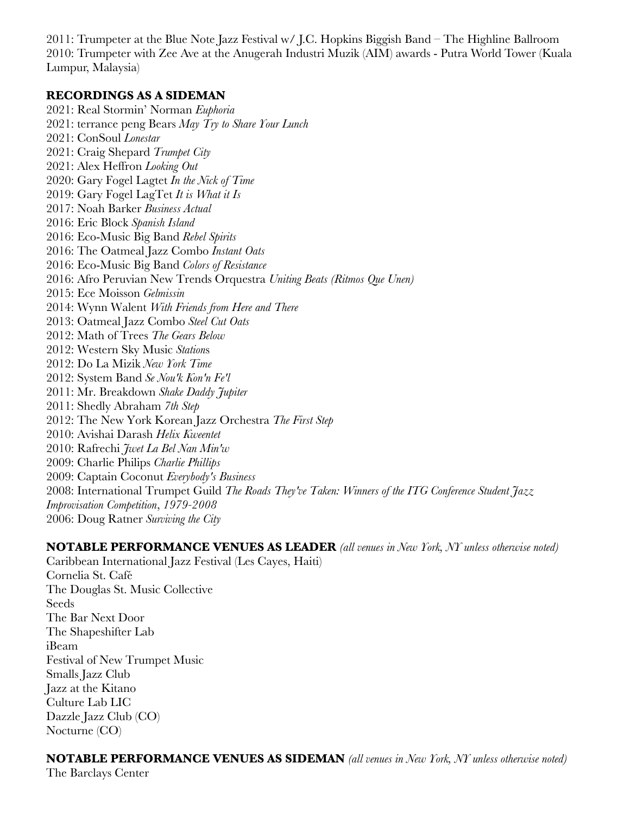2011: Trumpeter at the Blue Note Jazz Festival w/ J.C. Hopkins Biggish Band – The Highline Ballroom 2010: Trumpeter with Zee Ave at the Anugerah Industri Muzik (AIM) awards - Putra World Tower (Kuala Lumpur, Malaysia)

#### **RECORDINGS AS A SIDEMAN**

2021: Real Stormin' Norman *Euphoria* 2021: terrance peng Bears *May Try to Share Your Lunch* 2021: ConSoul *Lonestar* 2021: Craig Shepard *Trumpet City* 2021: Alex Heffron *Looking Out* 2020: Gary Fogel Lagtet *In the Nick of Time* 2019: Gary Fogel LagTet *It is What it Is* 2017: Noah Barker *Business Actual* 2016: Eric Block *Spanish Island* 2016: Eco-Music Big Band *Rebel Spirits* 2016: The Oatmeal Jazz Combo *Instant Oats* 2016: Eco-Music Big Band *Colors of Resistance* 2016: Afro Peruvian New Trends Orquestra *Uniting Beats (Ritmos Que Unen)* 2015: Ece Moisson *Gelmissin* 2014: Wynn Walent *With Friends from Here and There* 2013: Oatmeal Jazz Combo *Steel Cut Oats* 2012: Math of Trees *The Gears Below* 2012: Western Sky Music *Station*s 2012: Do La Mizik *New York Time* 2012: System Band *Se Nou'k Kon'n Fe'l* 2011: Mr. Breakdown *Shake Daddy Jupiter* 2011: Shedly Abraham *7th Step* 2012: The New York Korean Jazz Orchestra *The First Step* 2010: Avishai Darash *Helix Kweentet* 2010: Rafrechi *Jwet La Bel Nan Min'w* 2009: Charlie Philips *Charlie Phillips* 2009: Captain Coconut *Everybody's Business* 2008: International Trumpet Guild *The Roads They've Taken: Winners of the ITG Conference Student Jazz Improvisation Competition*, *1979-2008* 2006: Doug Ratner *Surviving the City*

**NOTABLE PERFORMANCE VENUES AS LEADER** *(all venues in New York, NY unless otherwise noted)* Caribbean International Jazz Festival (Les Cayes, Haiti) Cornelia St. Café The Douglas St. Music Collective Seeds The Bar Next Door The Shapeshifter Lab iBeam Festival of New Trumpet Music Smalls Jazz Club Jazz at the Kitano Culture Lab LIC

Dazzle Jazz Club (CO) Nocturne (CO)

## **NOTABLE PERFORMANCE VENUES AS SIDEMAN** *(all venues in New York, NY unless otherwise noted)*

The Barclays Center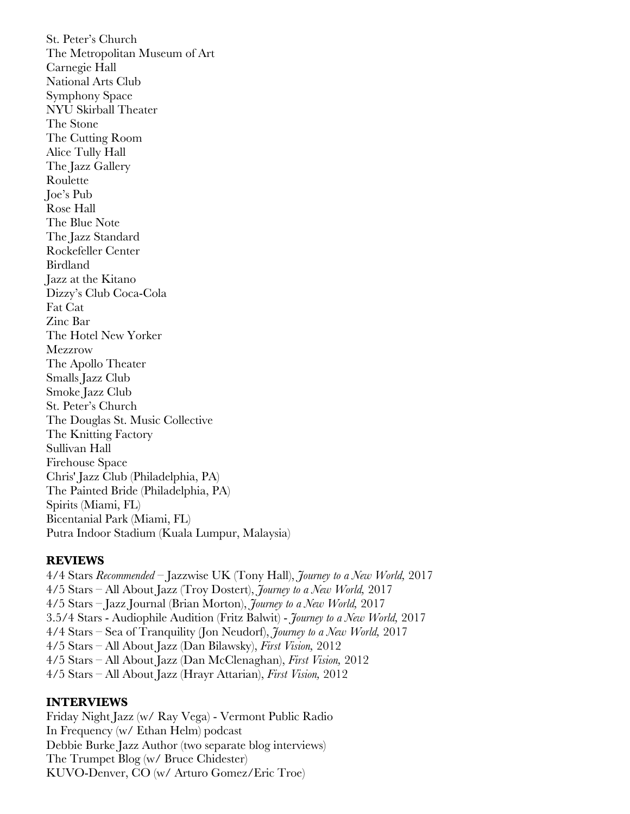St. Peter's Church The Metropolitan Museum of Art Carnegie Hall National Arts Club Symphony Space NYU Skirball Theater The Stone The Cutting Room Alice Tully Hall The Jazz Gallery Roulette Joe's Pub Rose Hall The Blue Note The Jazz Standard Rockefeller Center Birdland Jazz at the Kitano Dizzy's Club Coca-Cola Fat Cat Zinc Bar The Hotel New Yorker **Mezzrow** The Apollo Theater Smalls Jazz Club Smoke Jazz Club St. Peter's Church The Douglas St. Music Collective The Knitting Factory Sullivan Hall Firehouse Space Chris' Jazz Club (Philadelphia, PA) The Painted Bride (Philadelphia, PA) Spirits (Miami, FL) Bicentanial Park (Miami, FL) Putra Indoor Stadium (Kuala Lumpur, Malaysia)

#### **REVIEWS**

4/4 Stars *Recommended* – Jazzwise UK (Tony Hall), *Journey to a New World,* 2017 4/5 Stars – All About Jazz (Troy Dostert), *Journey to a New World,* 2017 4/5 Stars – Jazz Journal (Brian Morton), *Journey to a New World,* 2017 3.5/4 Stars - Audiophile Audition (Fritz Balwit) - *Journey to a New World,* 2017 4/4 Stars – Sea of Tranquility (Jon Neudorf), *Journey to a New World,* 2017 4/5 Stars – All About Jazz (Dan Bilawsky), *First Vision,* 2012 4/5 Stars – All About Jazz (Dan McClenaghan), *First Vision,* 2012 4/5 Stars – All About Jazz (Hrayr Attarian), *First Vision,* 2012

## **INTERVIEWS**

Friday Night Jazz (w/ Ray Vega) - Vermont Public Radio In Frequency (w/ Ethan Helm) podcast Debbie Burke Jazz Author (two separate blog interviews) The Trumpet Blog (w/ Bruce Chidester) KUVO-Denver, CO (w/ Arturo Gomez/Eric Troe)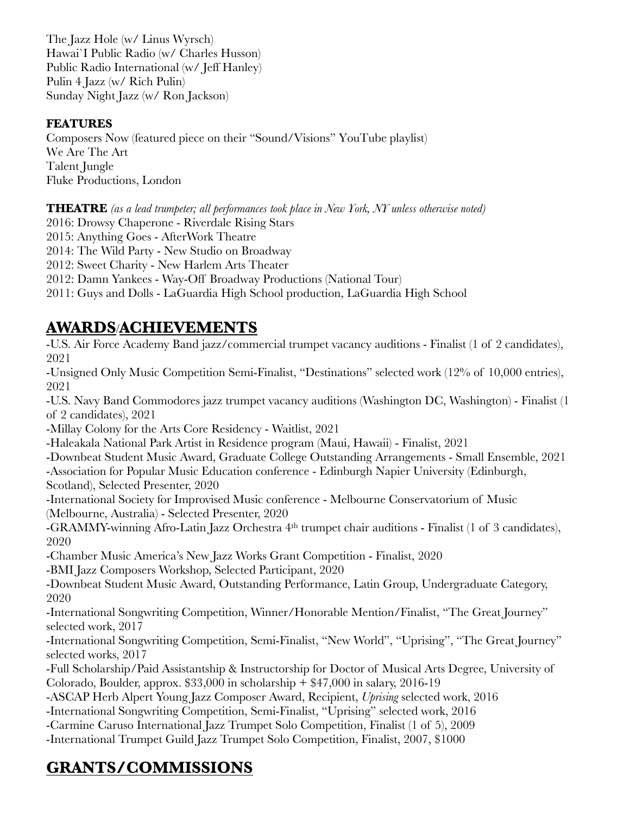The Jazz Hole (w/ Linus Wyrsch) Hawai`I Public Radio (w/ Charles Husson) Public Radio International (w/ Jeff Hanley) Pulin 4 Jazz (w/ Rich Pulin) Sunday Night Jazz (w/ Ron Jackson)

## **FEATURES**

Composers Now (featured piece on their "Sound/Visions" YouTube playlist) We Are The Art Talent Jungle Fluke Productions, London

**THEATRE** *(as a lead trumpeter; all performances took place in New York, NY unless otherwise noted)*

2016: Drowsy Chaperone - Riverdale Rising Stars

2015: Anything Goes - AfterWork Theatre

2014: The Wild Party - New Studio on Broadway

2012: Sweet Charity - New Harlem Arts Theater

2012: Damn Yankees - Way-Off Broadway Productions (National Tour)

2011: Guys and Dolls - LaGuardia High School production, LaGuardia High School

# **AWARDS**/**ACHIEVEMENTS**

-U.S. Air Force Academy Band jazz/commercial trumpet vacancy auditions - Finalist (1 of 2 candidates), 2021 -Unsigned Only Music Competition Semi-Finalist, "Destinations" selected work (12% of 10,000 entries), 2021 -U.S. Navy Band Commodores jazz trumpet vacancy auditions (Washington DC, Washington) - Finalist (1 of 2 candidates), 2021 -Millay Colony for the Arts Core Residency - Waitlist, 2021 -Haleakala National Park Artist in Residence program (Maui, Hawaii) - Finalist, 2021 -Downbeat Student Music Award, Graduate College Outstanding Arrangements - Small Ensemble, 2021 -Association for Popular Music Education conference - Edinburgh Napier University (Edinburgh, Scotland), Selected Presenter, 2020 -International Society for Improvised Music conference - Melbourne Conservatorium of Music (Melbourne, Australia) - Selected Presenter, 2020 -GRAMMY-winning Afro-Latin Jazz Orchestra 4th trumpet chair auditions - Finalist (1 of 3 candidates), 2020 -Chamber Music America's New Jazz Works Grant Competition - Finalist, 2020 -BMI Jazz Composers Workshop, Selected Participant, 2020 -Downbeat Student Music Award, Outstanding Performance, Latin Group, Undergraduate Category, 2020 -International Songwriting Competition, Winner/Honorable Mention/Finalist, "The Great Journey" selected work, 2017 -International Songwriting Competition, Semi-Finalist, "New World", "Uprising", "The Great Journey" selected works, 2017 -Full Scholarship/Paid Assistantship & Instructorship for Doctor of Musical Arts Degree, University of Colorado, Boulder, approx.  $$33,000$  in scholarship  $+ $47,000$  in salary, 2016-19 -ASCAP Herb Alpert Young Jazz Composer Award, Recipient, *Uprising* selected work, 2016 -International Songwriting Competition, Semi-Finalist, "Uprising" selected work, 2016 -Carmine Caruso International Jazz Trumpet Solo Competition, Finalist (1 of 5), 2009 -International Trumpet Guild Jazz Trumpet Solo Competition, Finalist, 2007, \$1000

# **GRANTS/COMMISSIONS**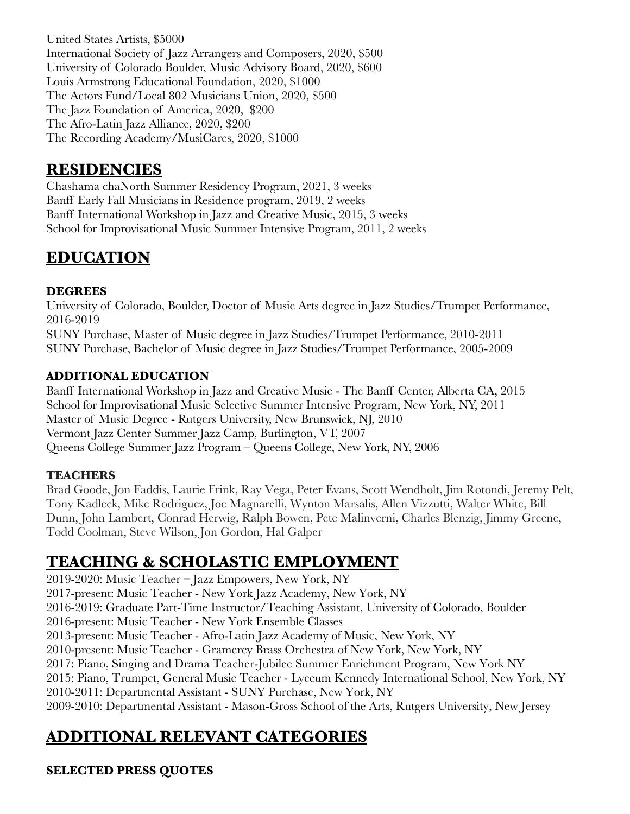United States Artists, \$5000 International Society of Jazz Arrangers and Composers, 2020, \$500 University of Colorado Boulder, Music Advisory Board, 2020, \$600 Louis Armstrong Educational Foundation, 2020, \$1000 The Actors Fund/Local 802 Musicians Union, 2020, \$500 The Jazz Foundation of America, 2020, \$200 The Afro-Latin Jazz Alliance, 2020, \$200 The Recording Academy/MusiCares, 2020, \$1000

# **RESIDENCIES**

Chashama chaNorth Summer Residency Program, 2021, 3 weeks Banff Early Fall Musicians in Residence program, 2019, 2 weeks Banff International Workshop in Jazz and Creative Music, 2015, 3 weeks School for Improvisational Music Summer Intensive Program, 2011, 2 weeks

# **EDUCATION**

# **DEGREES**

University of Colorado, Boulder, Doctor of Music Arts degree in Jazz Studies/Trumpet Performance, 2016-2019

SUNY Purchase, Master of Music degree in Jazz Studies/Trumpet Performance, 2010-2011 SUNY Purchase, Bachelor of Music degree in Jazz Studies/Trumpet Performance, 2005-2009

## **ADDITIONAL EDUCATION**

Banff International Workshop in Jazz and Creative Music - The Banff Center, Alberta CA, 2015 School for Improvisational Music Selective Summer Intensive Program, New York, NY, 2011 Master of Music Degree - Rutgers University, New Brunswick, NJ, 2010 Vermont Jazz Center Summer Jazz Camp, Burlington, VT, 2007 Queens College Summer Jazz Program – Queens College, New York, NY, 2006

## **TEACHERS**

Brad Goode, Jon Faddis, Laurie Frink, Ray Vega, Peter Evans, Scott Wendholt, Jim Rotondi, Jeremy Pelt, Tony Kadleck, Mike Rodriguez, Joe Magnarelli, Wynton Marsalis, Allen Vizzutti, Walter White, Bill Dunn, John Lambert, Conrad Herwig, Ralph Bowen, Pete Malinverni, Charles Blenzig, Jimmy Greene, Todd Coolman, Steve Wilson, Jon Gordon, Hal Galper

# **TEACHING & SCHOLASTIC EMPLOYMENT**

2019-2020: Music Teacher – Jazz Empowers, New York, NY 2017-present: Music Teacher - New York Jazz Academy, New York, NY 2016-2019: Graduate Part-Time Instructor/Teaching Assistant, University of Colorado, Boulder 2016-present: Music Teacher - New York Ensemble Classes 2013-present: Music Teacher - Afro-Latin Jazz Academy of Music, New York, NY 2010-present: Music Teacher - Gramercy Brass Orchestra of New York, New York, NY 2017: Piano, Singing and Drama Teacher-Jubilee Summer Enrichment Program, New York NY 2015: Piano, Trumpet, General Music Teacher - Lyceum Kennedy International School, New York, NY 2010-2011: Departmental Assistant - SUNY Purchase, New York, NY 2009-2010: Departmental Assistant - Mason-Gross School of the Arts, Rutgers University, New Jersey

# **ADDITIONAL RELEVANT CATEGORIES**

# **SELECTED PRESS QUOTES**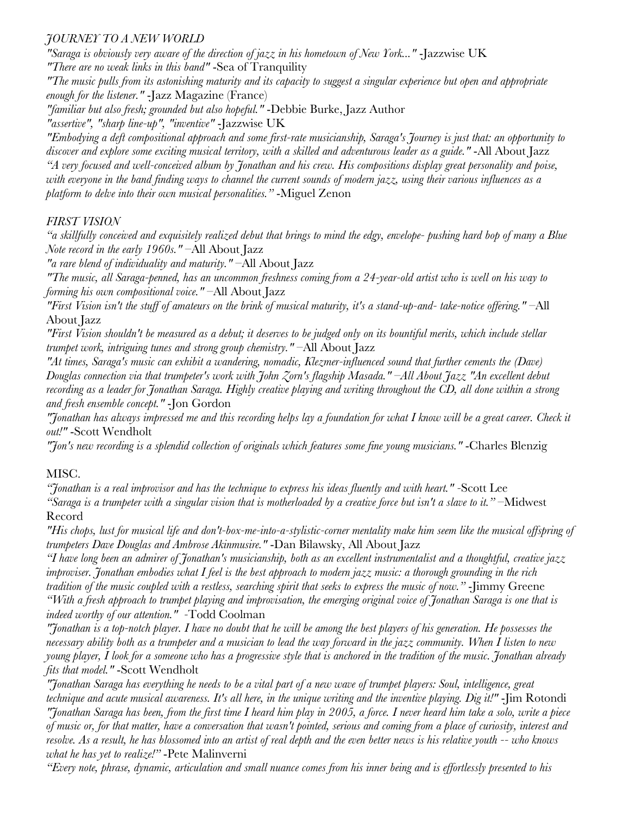#### *JOURNEY TO A NEW WORLD*

*"Saraga is obviously very aware of the direction of jazz in his hometown of New York..."* -Jazzwise UK *"There are no weak links in this band"* -Sea of Tranquility

*"The music pulls from its astonishing maturity and its capacity to suggest a singular experience but open and appropriate enough for the listener."* -Jazz Magazine (France)

*"familiar but also fresh; grounded but also hopeful."* -Debbie Burke, Jazz Author

*"assertive", "sharp line-up", "inventive"* -Jazzwise UK

*"Embodying a deft compositional approach and some first-rate musicianship, Saraga's Journey is just that: an opportunity to discover and explore some exciting musical territory, with a skilled and adventurous leader as a guide."* -All About Jazz *"A very focused and well-conceived album by Jonathan and his crew. His compositions display great personality and poise, with everyone in the band finding ways to channel the current sounds of modern jazz, using their various influences as a platform to delve into their own musical personalities."* -Miguel Zenon

## *FIRST VISION*

*"a skillfully conceived and exquisitely realized debut that brings to mind the edgy, envelope- pushing hard bop of many a Blue Note record in the early 1960s."* –All About Jazz

*"a rare blend of individuality and maturity."* –All About Jazz

*"The music, all Saraga-penned, has an uncommon freshness coming from a 24-year-old artist who is well on his way to forming his own compositional voice."* –All About Jazz

*"First Vision isn't the stuff of amateurs on the brink of musical maturity, it's a stand-up-and- take-notice offering."* –All About Jazz

*"First Vision shouldn't be measured as a debut; it deserves to be judged only on its bountiful merits, which include stellar trumpet work, intriguing tunes and strong group chemistry."* –All About Jazz

*"At times, Saraga's music can exhibit a wandering, nomadic, Klezmer-influenced sound that further cements the (Dave) Douglas connection via that trumpeter's work with John Zorn's flagship Masada." –All About Jazz "An excellent debut recording as a leader for Jonathan Saraga. Highly creative playing and writing throughout the CD, all done within a strong and fresh ensemble concept."* -Jon Gordon

*"Jonathan has always impressed me and this recording helps lay a foundation for what I know will be a great career. Check it out!"* -Scott Wendholt

*"Jon's new recording is a splendid collection of originals which features some fine young musicians."* -Charles Blenzig

## MISC.

*"Jonathan is a real improvisor and has the technique to express his ideas fluently and with heart." -*Scott Lee *"Saraga is a trumpeter with a singular vision that is motherloaded by a creative force but isn't a slave to it."* –Midwest Record

*"His chops, lust for musical life and don't-box-me-into-a-stylistic-corner mentality make him seem like the musical offspring of trumpeters Dave Douglas and Ambrose Akinmusire."* -Dan Bilawsky, All About Jazz

*"I have long been an admirer of Jonathan's musicianship, both as an excellent instrumentalist and a thoughtful, creative jazz improviser. Jonathan embodies what I feel is the best approach to modern jazz music: a thorough grounding in the rich tradition of the music coupled with a restless, searching spirit that seeks to express the music of now."* -Jimmy Greene *"With a fresh approach to trumpet playing and improvisation, the emerging original voice of Jonathan Saraga is one that is indeed worthy of our attention." -*Todd Coolman

*"Jonathan is a top-notch player. I have no doubt that he will be among the best players of his generation. He possesses the necessary ability both as a trumpeter and a musician to lead the way forward in the jazz community. When I listen to new young player, I look for a someone who has a progressive style that is anchored in the tradition of the music. Jonathan already fits that model."* -Scott Wendholt

*"Jonathan Saraga has everything he needs to be a vital part of a new wave of trumpet players: Soul, intelligence, great technique and acute musical awareness. It's all here, in the unique writing and the inventive playing. Dig it!"* -Jim Rotondi *"Jonathan Saraga has been, from the first time I heard him play in 2005, a force. I never heard him take a solo, write a piece of music or, for that matter, have a conversation that wasn't pointed, serious and coming from a place of curiosity, interest and resolve. As a result, he has blossomed into an artist of real depth and the even better news is his relative youth -- who knows what he has yet to realize!"* -Pete Malinverni

*"Every note, phrase, dynamic, articulation and small nuance comes from his inner being and is effortlessly presented to his*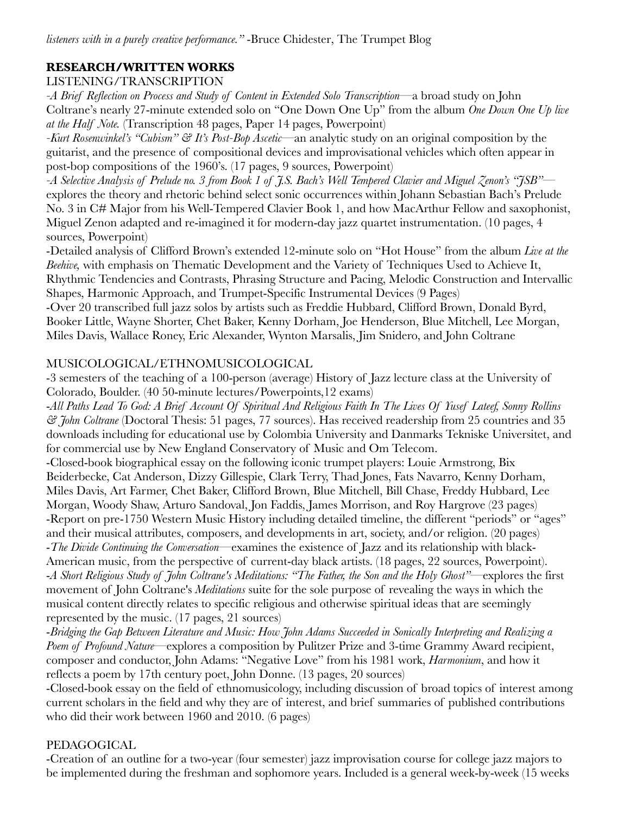## **RESEARCH/WRITTEN WORKS**

## LISTENING/TRANSCRIPTION

*-A Brief Reflection on Process and Study of Content in Extended Solo Transcription*—a broad study on John Coltrane's nearly 27-minute extended solo on "One Down One Up" from the album *One Down One Up live at the Half Note.* (Transcription 48 pages, Paper 14 pages, Powerpoint)

*-Kurt Rosenwinkel's "Cubism" & It's Post-Bop Ascetic*—an analytic study on an original composition by the guitarist, and the presence of compositional devices and improvisational vehicles which often appear in post-bop compositions of the 1960's. (17 pages, 9 sources, Powerpoint)

*-A Selective Analysis of Prelude no. 3 from Book 1 of J.S. Bach's Well Tempered Clavier and Miguel Zenon's "JSB"* explores the theory and rhetoric behind select sonic occurrences within Johann Sebastian Bach's Prelude No. 3 in C# Major from his Well-Tempered Clavier Book 1, and how MacArthur Fellow and saxophonist, Miguel Zenon adapted and re-imagined it for modern-day jazz quartet instrumentation. (10 pages, 4 sources, Powerpoint)

-Detailed analysis of Clifford Brown's extended 12-minute solo on "Hot House" from the album *Live at the Beehive,* with emphasis on Thematic Development and the Variety of Techniques Used to Achieve It, Rhythmic Tendencies and Contrasts, Phrasing Structure and Pacing, Melodic Construction and Intervallic Shapes, Harmonic Approach, and Trumpet-Specific Instrumental Devices (9 Pages)

-Over 20 transcribed full jazz solos by artists such as Freddie Hubbard, Clifford Brown, Donald Byrd, Booker Little, Wayne Shorter, Chet Baker, Kenny Dorham, Joe Henderson, Blue Mitchell, Lee Morgan, Miles Davis, Wallace Roney, Eric Alexander, Wynton Marsalis, Jim Snidero, and John Coltrane

## MUSICOLOGICAL/ETHNOMUSICOLOGICAL

-3 semesters of the teaching of a 100-person (average) History of Jazz lecture class at the University of Colorado, Boulder. (40 50-minute lectures/Powerpoints,12 exams)

-*All Paths Lead To God: A Brief Account Of Spiritual And Religious Faith In The Lives Of Yusef Lateef, Sonny Rollins & John Coltrane* (Doctoral Thesis: 51 pages, 77 sources). Has received readership from 25 countries and 35 downloads including for educational use by Colombia University and Danmarks Tekniske Universitet, and for commercial use by New England Conservatory of Music and Om Telecom.

-Closed-book biographical essay on the following iconic trumpet players: Louie Armstrong, Bix Beiderbecke, Cat Anderson, Dizzy Gillespie, Clark Terry, Thad Jones, Fats Navarro, Kenny Dorham, Miles Davis, Art Farmer, Chet Baker, Clifford Brown, Blue Mitchell, Bill Chase, Freddy Hubbard, Lee Morgan, Woody Shaw, Arturo Sandoval, Jon Faddis, James Morrison, and Roy Hargrove (23 pages) -Report on pre-1750 Western Music History including detailed timeline, the different "periods" or "ages" and their musical attributes, composers, and developments in art, society, and/or religion. (20 pages) -*The Divide Continuing the Conversation*—examines the existence of Jazz and its relationship with black-American music, from the perspective of current-day black artists. (18 pages, 22 sources, Powerpoint). -*A Short Religious Study of John Coltrane's Meditations: "The Father, the Son and the Holy Ghost"*—explores the first movement of John Coltrane's *Meditations* suite for the sole purpose of revealing the ways in which the musical content directly relates to specific religious and otherwise spiritual ideas that are seemingly represented by the music. (17 pages, 21 sources)

-*Bridging the Gap Between Literature and Music: How John Adams Succeeded in Sonically Interpreting and Realizing a Poem of Profound Nature*—explores a composition by Pulitzer Prize and 3-time Grammy Award recipient, composer and conductor, John Adams: "Negative Love" from his 1981 work, *Harmonium*, and how it reflects a poem by 17th century poet, John Donne. (13 pages, 20 sources)

-Closed-book essay on the field of ethnomusicology, including discussion of broad topics of interest among current scholars in the field and why they are of interest, and brief summaries of published contributions who did their work between 1960 and 2010. (6 pages)

## PEDAGOGICAL

-Creation of an outline for a two-year (four semester) jazz improvisation course for college jazz majors to be implemented during the freshman and sophomore years. Included is a general week-by-week (15 weeks